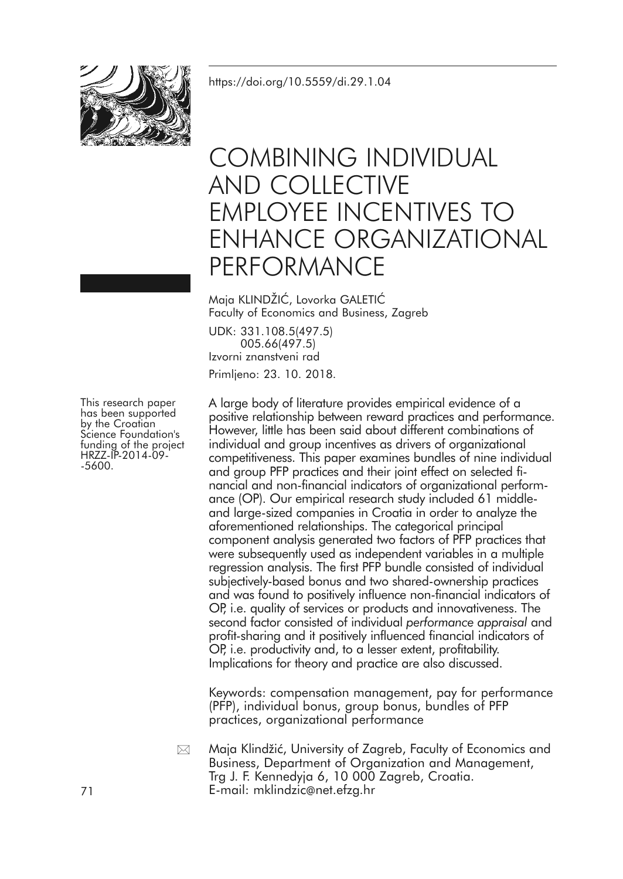

<https://doi.org/10.5559/di.29.1.04>

# COMBINING INDIVIDUAL AND COLLECTIVE EMPLOYEE INCENTIVES TO ENHANCE ORGANIZATIONAL PERFORMANCE

Maja KLINDŽIĆ, Lovorka GALETIĆ Faculty of Economics and Business, Zagreb

UDK: 331.108.5(497.5) 005.66(497.5) Izvorni znanstveni rad

Primljeno: 23. 10. 2018.

A large body of literature provides empirical evidence of a positive relationship between reward practices and performance. However, little has been said about different combinations of individual and group incentives as drivers of organizational competitiveness. This paper examines bundles of nine individual and group PFP practices and their joint effect on selected financial and non-financial indicators of organizational performance (OP). Our empirical research study included 61 middleand large-sized companies in Croatia in order to analyze the aforementioned relationships. The categorical principal component analysis generated two factors of PFP practices that were subsequently used as independent variables in a multiple regression analysis. The first PFP bundle consisted of individual subjectively-based bonus and two shared-ownership practices and was found to positively influence non-financial indicators of OP, i.e. quality of services or products and innovativeness. The second factor consisted of individual *performance appraisal* and profit-sharing and it positively influenced financial indicators of OP, i.e. productivity and, to a lesser extent, profitability. Implications for theory and practice are also discussed.

Keywords: compensation management, pay for performance (PFP), individual bonus, group bonus, bundles of PFP practices, organizational performance

Maja Klindžić, University of Zagreb, Faculty of Economics and Business, Department of Organization and Management, Trg J. F. Kennedyja 6, 10 000 Zagreb, Croatia. 71 E-mail: mklindzic@net.efzg.hr  $\boxtimes$ 

This research paper<br>has been supported<br>by the Croatian Science Foundation's<br>funding of the project HRZZ-IP-2014-09- -5600.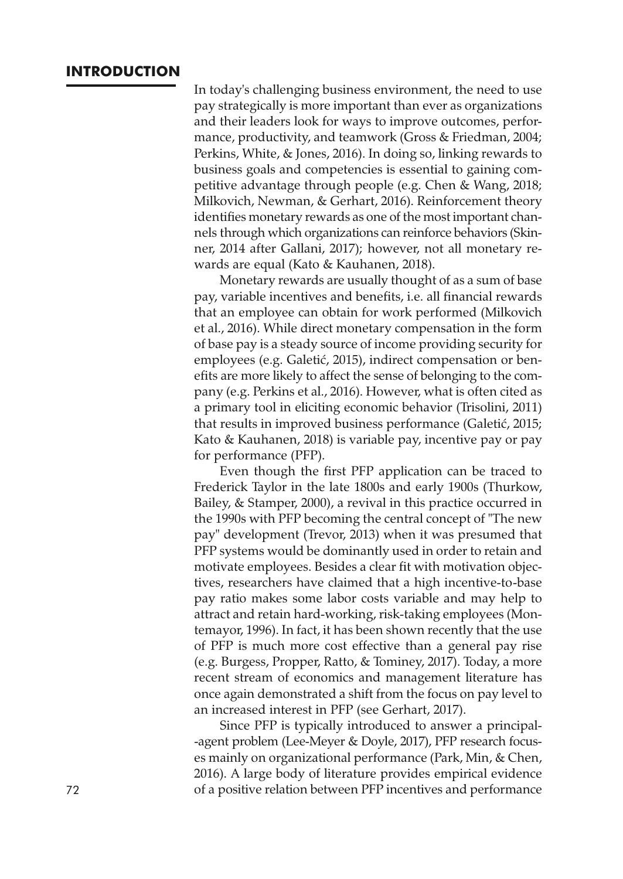#### **INTRODUCTION**

In today's challenging business environment, the need to use pay strategically is more important than ever as organizations and their leaders look for ways to improve outcomes, performance, productivity, and teamwork (Gross & Friedman, 2004; Perkins, White, & Jones, 2016). In doing so, linking rewards to business goals and competencies is essential to gaining competitive advantage through people (e.g. Chen & Wang, 2018; Milkovich, Newman, & Gerhart, 2016). Reinforcement theory identifies monetary rewards as one of the most important channels through which organizations can reinforce behaviors (Skinner, 2014 after Gallani, 2017); however, not all monetary rewards are equal (Kato & Kauhanen, 2018).

Monetary rewards are usually thought of as a sum of base pay, variable incentives and benefits, i.e. all financial rewards that an employee can obtain for work performed (Milkovich et al., 2016). While direct monetary compensation in the form of base pay is a steady source of income providing security for employees (e.g. Galetić, 2015), indirect compensation or benefits are more likely to affect the sense of belonging to the company (e.g. Perkins et al., 2016). However, what is often cited as a primary tool in eliciting economic behavior (Trisolini, 2011) that results in improved business performance (Galetić, 2015; Kato & Kauhanen, 2018) is variable pay, incentive pay or pay for performance (PFP).

Even though the first PFP application can be traced to Frederick Taylor in the late 1800s and early 1900s (Thurkow, Bailey, & Stamper, 2000), a revival in this practice occurred in the 1990s with PFP becoming the central concept of "The new pay" development (Trevor, 2013) when it was presumed that PFP systems would be dominantly used in order to retain and motivate employees. Besides a clear fit with motivation objectives, researchers have claimed that a high incentive-to-base pay ratio makes some labor costs variable and may help to attract and retain hard-working, risk-taking employees (Montemayor, 1996). In fact, it has been shown recently that the use of PFP is much more cost effective than a general pay rise (e.g. Burgess, Propper, Ratto, & Tominey, 2017). Today, a more recent stream of economics and management literature has once again demonstrated a shift from the focus on pay level to an increased interest in PFP (see Gerhart, 2017).

Since PFP is typically introduced to answer a principal- -agent problem (Lee-Meyer & Doyle, 2017), PFP research focuses mainly on organizational performance (Park, Min, & Chen, 2016). A large body of literature provides empirical evidence 72 of a positive relation between PFP incentives and performance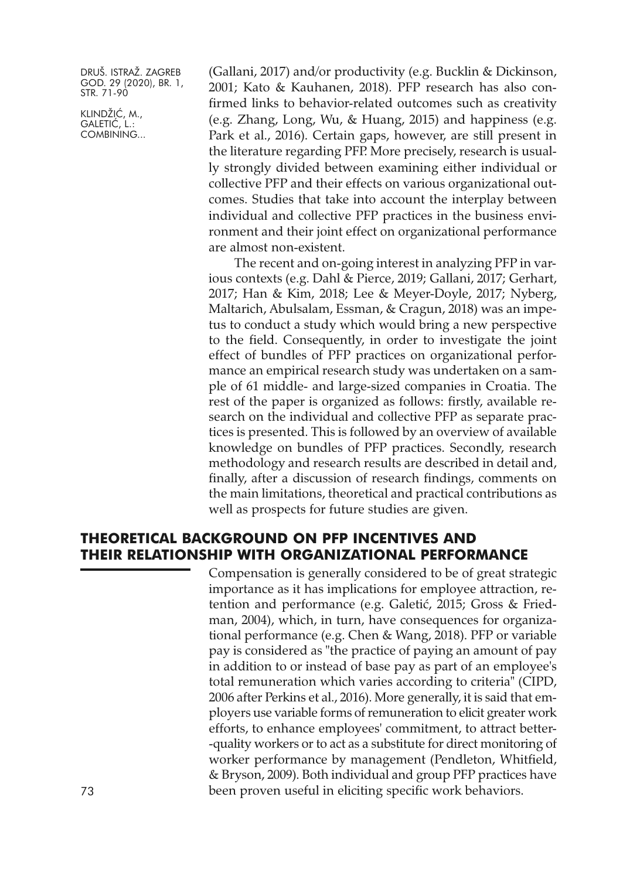KLINDŽIĆ, M., GALETIĆ, L.: COMBINING...

(Gallani, 2017) and/or productivity (e.g. Bucklin & Dickinson, 2001; Kato & Kauhanen, 2018). PFP research has also confirmed links to behavior-related outcomes such as creativity (e.g. Zhang, Long, Wu, & Huang, 2015) and happiness (e.g. Park et al., 2016). Certain gaps, however, are still present in the literature regarding PFP. More precisely, research is usually strongly divided between examining either individual or collective PFP and their effects on various organizational outcomes. Studies that take into account the interplay between individual and collective PFP practices in the business environment and their joint effect on organizational performance are almost non-existent.

The recent and on-going interest in analyzing PFP in various contexts (e.g. Dahl & Pierce, 2019; Gallani, 2017; Gerhart, 2017; Han & Kim, 2018; Lee & Meyer-Doyle, 2017; Nyberg, Maltarich, Abulsalam, Essman, & Cragun, 2018) was an impetus to conduct a study which would bring a new perspective to the field. Consequently, in order to investigate the joint effect of bundles of PFP practices on organizational performance an empirical research study was undertaken on a sample of 61 middle- and large-sized companies in Croatia. The rest of the paper is organized as follows: firstly, available research on the individual and collective PFP as separate practices is presented. This is followed by an overview of available knowledge on bundles of PFP practices. Secondly, research methodology and research results are described in detail and, finally, after a discussion of research findings, comments on the main limitations, theoretical and practical contributions as well as prospects for future studies are given.

# **THEORETICAL BACKGROUND ON PFP INCENTIVES AND THEIR RELATIONSHIP WITH ORGANIZATIONAL PERFORMANCE**

Compensation is generally considered to be of great strategic importance as it has implications for employee attraction, retention and performance (e.g. Galetić, 2015; Gross & Friedman, 2004), which, in turn, have consequences for organizational performance (e.g. Chen & Wang, 2018). PFP or variable pay is considered as "the practice of paying an amount of pay in addition to or instead of base pay as part of an employee's total remuneration which varies according to criteria" (CIPD, 2006 after Perkins et al., 2016). More generally, it is said that employers use variable forms of remuneration to elicit greater work efforts, to enhance employees' commitment, to attract better- -quality workers or to act as a substitute for direct monitoring of worker performance by management (Pendleton, Whitfield, & Bryson, 2009). Both individual and group PFP practices have 73 been proven useful in eliciting specific work behaviors.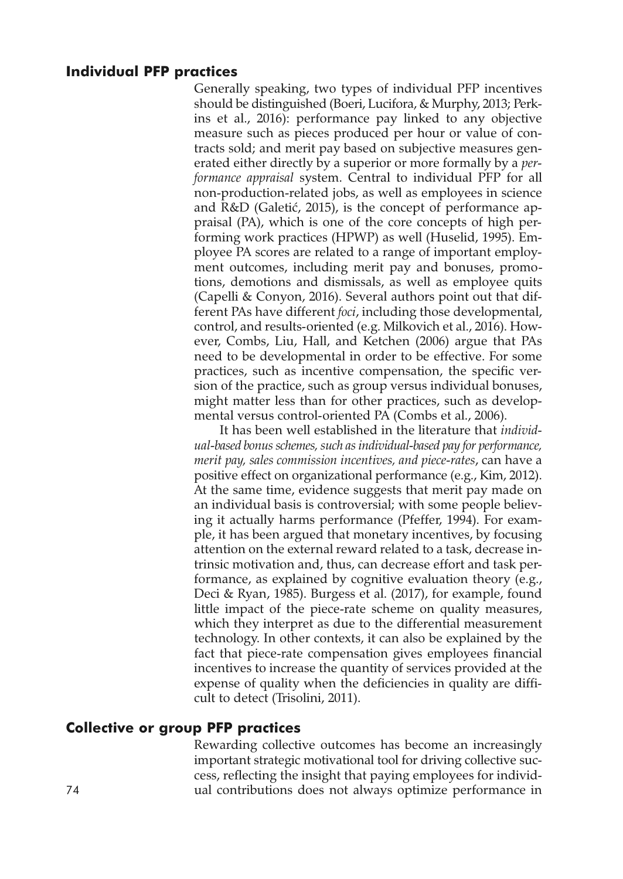#### **Individual PFP practices**

Generally speaking, two types of individual PFP incentives should be distinguished (Boeri, Lucifora, & Murphy, 2013; Perkins et al., 2016): performance pay linked to any objective measure such as pieces produced per hour or value of contracts sold; and merit pay based on subjective measures generated either directly by a superior or more formally by a *performance appraisal* system. Central to individual PFP for all non-production-related jobs, as well as employees in science and R&D (Galetić, 2015), is the concept of performance appraisal (PA), which is one of the core concepts of high performing work practices (HPWP) as well (Huselid, 1995). Employee PA scores are related to a range of important employment outcomes, including merit pay and bonuses, promotions, demotions and dismissals, as well as employee quits (Capelli & Conyon, 2016). Several authors point out that different PAs have different *foci*, including those developmental, control, and results-oriented (e.g. Milkovich et al., 2016). However, Combs, Liu, Hall, and Ketchen (2006) argue that PAs need to be developmental in order to be effective. For some practices, such as incentive compensation, the specific version of the practice, such as group versus individual bonuses, might matter less than for other practices, such as developmental versus control-oriented PA (Combs et al., 2006).

It has been well established in the literature that *individual-based bonusschemes,such asindividual-based pay for performance, merit pay, sales commission incentives, and piece-rates*, can have a positive effect on organizational performance (e.g., Kim, 2012). At the same time, evidence suggests that merit pay made on an individual basis is controversial; with some people believing it actually harms performance (Pfeffer, 1994). For example, it has been argued that monetary incentives, by focusing attention on the external reward related to a task, decrease intrinsic motivation and, thus, can decrease effort and task performance, as explained by cognitive evaluation theory (e.g., Deci & Ryan, 1985). Burgess et al. (2017), for example, found little impact of the piece-rate scheme on quality measures, which they interpret as due to the differential measurement technology. In other contexts, it can also be explained by the fact that piece-rate compensation gives employees financial incentives to increase the quantity of services provided at the expense of quality when the deficiencies in quality are difficult to detect (Trisolini, 2011).

## **Collective or group PFP practices**

Rewarding collective outcomes has become an increasingly important strategic motivational tool for driving collective success, reflecting the insight that paying employees for individ-74 ual contributions does not always optimize performance in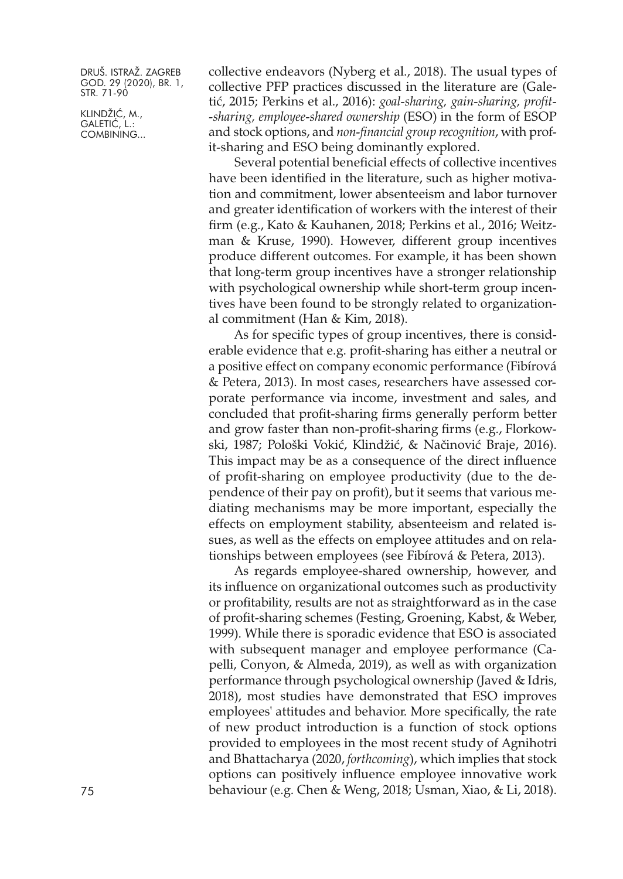KLINDŽIĆ, M., GALETIĆ, L.: COMBINING...

collective endeavors (Nyberg et al., 2018). The usual types of collective PFP practices discussed in the literature are (Galetić, 2015; Perkins et al., 2016): *goal-sharing, gain-sharing, profit- -sharing, employee-shared ownership* (ESO) in the form of ESOP and stock options, and *non-financial group recognition*, with profit-sharing and ESO being dominantly explored.

Several potential beneficial effects of collective incentives have been identified in the literature, such as higher motivation and commitment, lower absenteeism and labor turnover and greater identification of workers with the interest of their firm (e.g., Kato & Kauhanen, 2018; Perkins et al., 2016; Weitzman & Kruse, 1990). However, different group incentives produce different outcomes. For example, it has been shown that long-term group incentives have a stronger relationship with psychological ownership while short-term group incentives have been found to be strongly related to organizational commitment (Han & Kim, 2018).

As for specific types of group incentives, there is considerable evidence that e.g. profit-sharing has either a neutral or a positive effect on company economic performance (Fibírová & Petera, 2013). In most cases, researchers have assessed corporate performance via income, investment and sales, and concluded that profit-sharing firms generally perform better and grow faster than non-profit-sharing firms (e.g., Florkowski, 1987; Pološki Vokić, Klindžić, & Načinović Braje, 2016). This impact may be as a consequence of the direct influence of profit-sharing on employee productivity (due to the dependence of their pay on profit), but it seems that various mediating mechanisms may be more important, especially the effects on employment stability, absenteeism and related issues, as well as the effects on employee attitudes and on relationships between employees (see Fibírová & Petera, 2013).

As regards employee-shared ownership, however, and its influence on organizational outcomes such as productivity or profitability, results are not as straightforward as in the case of profit-sharing schemes (Festing, Groening, Kabst, & Weber, 1999). While there is sporadic evidence that ESO is associated with subsequent manager and employee performance (Capelli, Conyon, & Almeda, 2019), as well as with organization performance through psychological ownership (Javed & Idris, 2018), most studies have demonstrated that ESO improves employees' attitudes and behavior. More specifically, the rate of new product introduction is a function of stock options provided to employees in the most recent study of Agnihotri and Bhattacharya (2020, *forthcoming*), which implies that stock options can positively influence employee innovative work 75 behaviour (e.g. Chen & Weng, 2018; Usman, Xiao, & Li, 2018).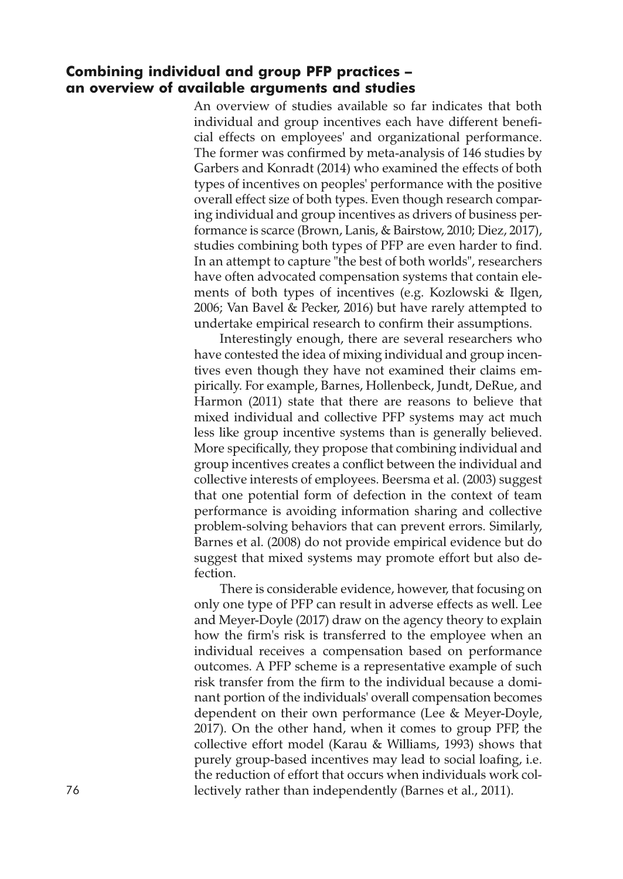# **Combining individual and group PFP practices – an overview of available arguments and studies**

An overview of studies available so far indicates that both individual and group incentives each have different beneficial effects on employees' and organizational performance. The former was confirmed by meta-analysis of 146 studies by Garbers and Konradt (2014) who examined the effects of both types of incentives on peoples' performance with the positive overall effect size of both types. Even though research comparing individual and group incentives as drivers of business performance is scarce (Brown, Lanis, & Bairstow, 2010; Diez, 2017), studies combining both types of PFP are even harder to find. In an attempt to capture "the best of both worlds", researchers have often advocated compensation systems that contain elements of both types of incentives (e.g. Kozlowski & Ilgen, 2006; Van Bavel & Pecker, 2016) but have rarely attempted to undertake empirical research to confirm their assumptions.

Interestingly enough, there are several researchers who have contested the idea of mixing individual and group incentives even though they have not examined their claims empirically. For example, Barnes, Hollenbeck, Jundt, DeRue, and Harmon (2011) state that there are reasons to believe that mixed individual and collective PFP systems may act much less like group incentive systems than is generally believed. More specifically, they propose that combining individual and group incentives creates a conflict between the individual and collective interests of employees. Beersma et al. (2003) suggest that one potential form of defection in the context of team performance is avoiding information sharing and collective problem-solving behaviors that can prevent errors. Similarly, Barnes et al. (2008) do not provide empirical evidence but do suggest that mixed systems may promote effort but also defection.

There is considerable evidence, however, that focusing on only one type of PFP can result in adverse effects as well. Lee and Meyer-Doyle (2017) draw on the agency theory to explain how the firm's risk is transferred to the employee when an individual receives a compensation based on performance outcomes. A PFP scheme is a representative example of such risk transfer from the firm to the individual because a dominant portion of the individuals' overall compensation becomes dependent on their own performance (Lee & Meyer-Doyle, 2017). On the other hand, when it comes to group PFP, the collective effort model (Karau & Williams, 1993) shows that purely group-based incentives may lead to social loafing, i.e. the reduction of effort that occurs when individuals work col-76 lectively rather than independently (Barnes et al., 2011).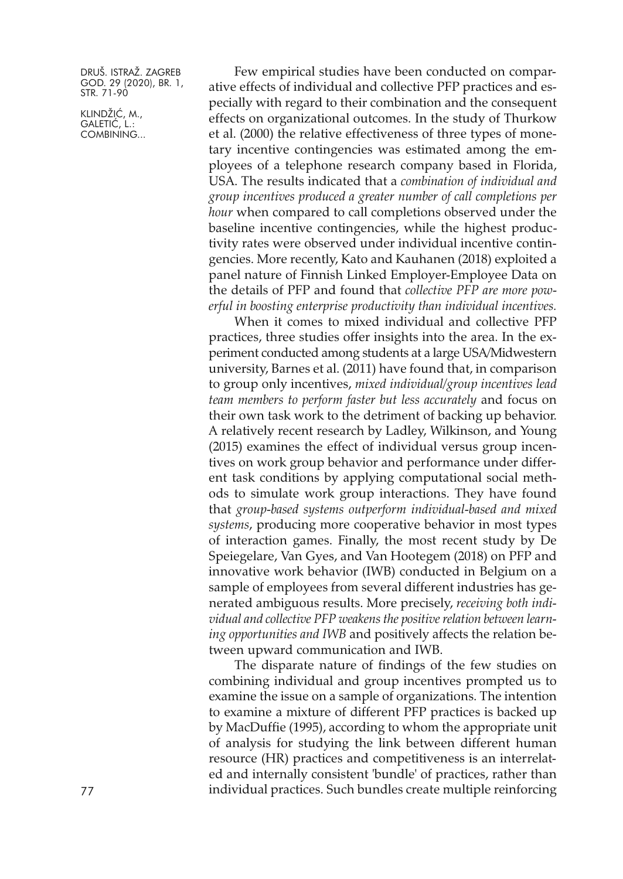KLINDŽIĆ, M., GALETIĆ, L.: COMBINING...

Few empirical studies have been conducted on comparative effects of individual and collective PFP practices and especially with regard to their combination and the consequent effects on organizational outcomes. In the study of Thurkow et al. (2000) the relative effectiveness of three types of monetary incentive contingencies was estimated among the employees of a telephone research company based in Florida, USA. The results indicated that a *combination of individual and group incentives produced a greater number of call completions per hour* when compared to call completions observed under the baseline incentive contingencies, while the highest productivity rates were observed under individual incentive contingencies. More recently, Kato and Kauhanen (2018) exploited a panel nature of Finnish Linked Employer-Employee Data on the details of PFP and found that *collective PFP are more powerful in boosting enterprise productivity than individual incentives.*

When it comes to mixed individual and collective PFP practices, three studies offer insights into the area. In the experiment conducted among students at a large USA/Midwestern university, Barnes et al. (2011) have found that, in comparison to group only incentives, *mixed individual/group incentives lead team members to perform faster but less accurately* and focus on their own task work to the detriment of backing up behavior. A relatively recent research by Ladley, Wilkinson, and Young (2015) examines the effect of individual versus group incentives on work group behavior and performance under different task conditions by applying computational social methods to simulate work group interactions. They have found that *group-based systems outperform individual-based and mixed systems*, producing more cooperative behavior in most types of interaction games. Finally, the most recent study by De Speiegelare, Van Gyes, and Van Hootegem (2018) on PFP and innovative work behavior (IWB) conducted in Belgium on a sample of employees from several different industries has generated ambiguous results. More precisely, *receiving both individual and collective PFP weakens the positive relation between learning opportunities and IWB* and positively affects the relation between upward communication and IWB.

The disparate nature of findings of the few studies on combining individual and group incentives prompted us to examine the issue on a sample of organizations. The intention to examine a mixture of different PFP practices is backed up by MacDuffie (1995), according to whom the appropriate unit of analysis for studying the link between different human resource (HR) practices and competitiveness is an interrelated and internally consistent 'bundle' of practices, rather than 77 individual practices. Such bundles create multiple reinforcing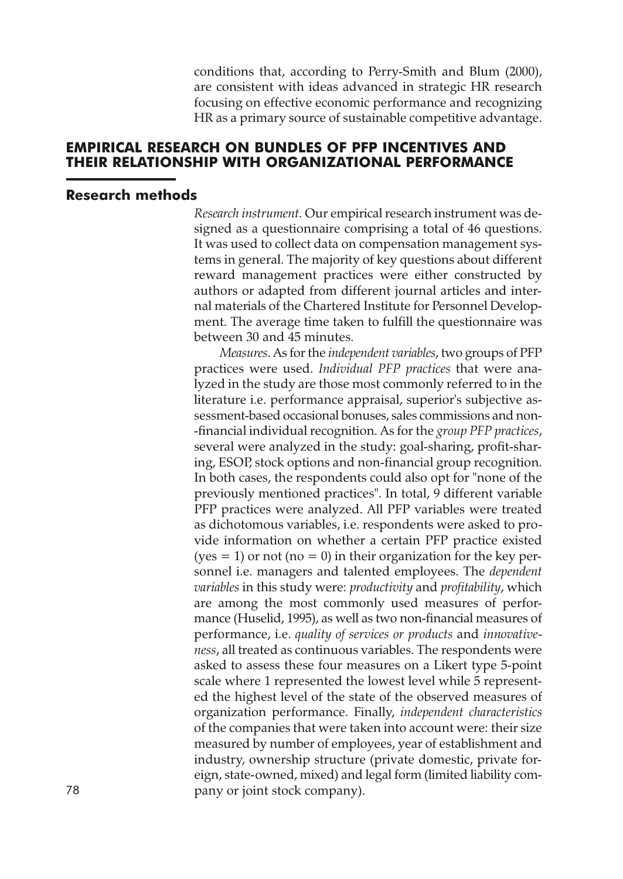conditions that, according to Perry-Smith and Blum (2000), are consistent with ideas advanced in strategic HR research focusing on effective economic performance and recognizing HR as a primary source of sustainable competitive advantage.

### **EMPIRICAL RESEARCH ON BUNDLES OF PFP INCENTIVES AND THEIR RELATIONSHIP WITH ORGANIZATIONAL PERFORMANCE**

#### **Research methods**

*Research instrument*. Our empirical research instrument was designed as a questionnaire comprising a total of 46 questions. It was used to collect data on compensation management systems in general. The majority of key questions about different reward management practices were either constructed by authors or adapted from different journal articles and internal materials of the Chartered Institute for Personnel Development. The average time taken to fulfill the questionnaire was between 30 and 45 minutes.

*Measures*. As for the *independent variables*, two groups of PFP practices were used. *Individual PFP practices* that were analyzed in the study are those most commonly referred to in the literature i.e. performance appraisal, superior's subjective assessment-based occasional bonuses, sales commissions and non- -financial individual recognition. As for the *group PFP practices*, several were analyzed in the study: goal-sharing, profit-sharing, ESOP, stock options and non-financial group recognition. In both cases, the respondents could also opt for "none of the previously mentioned practices". In total, 9 different variable PFP practices were analyzed. All PFP variables were treated as dichotomous variables, i.e. respondents were asked to provide information on whether a certain PFP practice existed (yes  $= 1$ ) or not (no  $= 0$ ) in their organization for the key personnel i.e. managers and talented employees. The *dependent variables* in this study were: *productivity* and *profitability*, which are among the most commonly used measures of performance (Huselid, 1995), as well as two non-financial measures of performance, i.e. *quality of services or products* and *innovativeness*, all treated as continuous variables. The respondents were asked to assess these four measures on a Likert type 5-point scale where 1 represented the lowest level while 5 represented the highest level of the state of the observed measures of organization performance. Finally, *independent characteristics* of the companies that were taken into account were: their size measured by number of employees, year of establishment and industry, ownership structure (private domestic, private foreign, state-owned, mixed) and legal form (limited liability com-78 pany or joint stock company).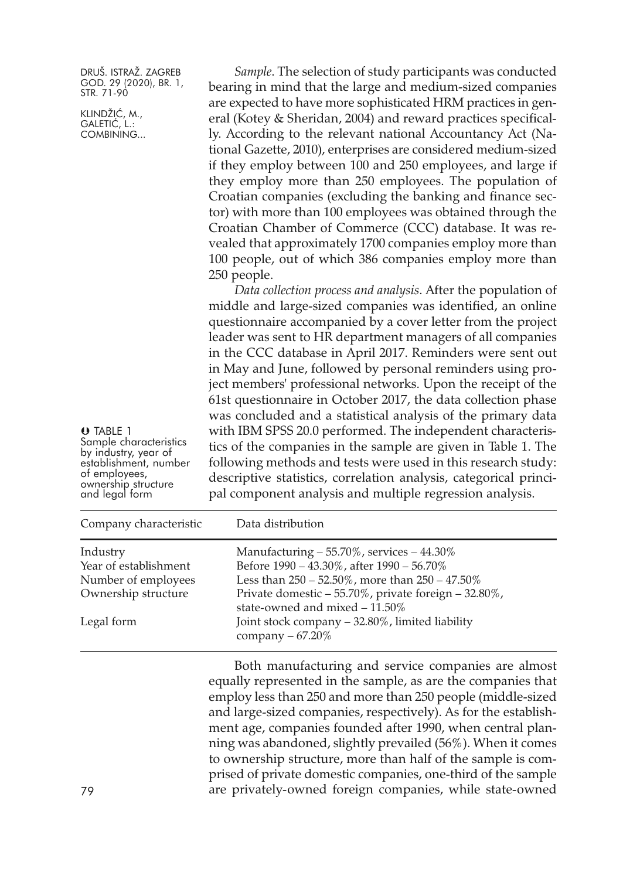KLINDŽIĆ, M., GALETIĆ, L.: COMBINING...

*Sample*. The selection of study participants was conducted bearing in mind that the large and medium-sized companies are expected to have more sophisticated HRM practices in general (Kotey & Sheridan, 2004) and reward practices specifically. According to the relevant national Accountancy Act (National Gazette, 2010), enterprises are considered medium-sized if they employ between 100 and 250 employees, and large if they employ more than 250 employees. The population of Croatian companies (excluding the banking and finance sector) with more than 100 employees was obtained through the Croatian Chamber of Commerce (CCC) database. It was revealed that approximately 1700 companies employ more than 100 people, out of which 386 companies employ more than 250 people.

*Data collection process and analysis*. After the population of middle and large-sized companies was identified, an online questionnaire accompanied by a cover letter from the project leader was sent to HR department managers of all companies in the CCC database in April 2017. Reminders were sent out in May and June, followed by personal reminders using project members' professional networks. Upon the receipt of the 61st questionnaire in October 2017, the data collection phase was concluded and a statistical analysis of the primary data with IBM SPSS 20.0 performed. The independent characteristics of the companies in the sample are given in Table 1. The following methods and tests were used in this research study: descriptive statistics, correlation analysis, categorical principal component analysis and multiple regression analysis.

**U** TABLE 1<br>Sample characteristics by industry, year of<br>establishment, number<br>of employees,<br>ownership structure<br>and legal form

| Company characteristic            | Data distribution                                                                      |
|-----------------------------------|----------------------------------------------------------------------------------------|
| Industry<br>Year of establishment | Manufacturing - 55.70%, services - 44.30%<br>Before 1990 - 43.30%, after 1990 - 56.70% |
| Number of employees               | Less than $250 - 52.50\%$ , more than $250 - 47.50\%$                                  |
| Ownership structure               | Private domestic - 55.70%, private foreign - 32.80%,<br>state-owned and mixed - 11.50% |
| Legal form                        | Joint stock company - 32.80%, limited liability<br>company $-67.20\%$                  |

Both manufacturing and service companies are almost equally represented in the sample, as are the companies that employ less than 250 and more than 250 people (middle-sized and large-sized companies, respectively). As for the establishment age, companies founded after 1990, when central planning was abandoned, slightly prevailed (56%). When it comes to ownership structure, more than half of the sample is comprised of private domestic companies, one-third of the sample 79 are privately-owned foreign companies, while state-owned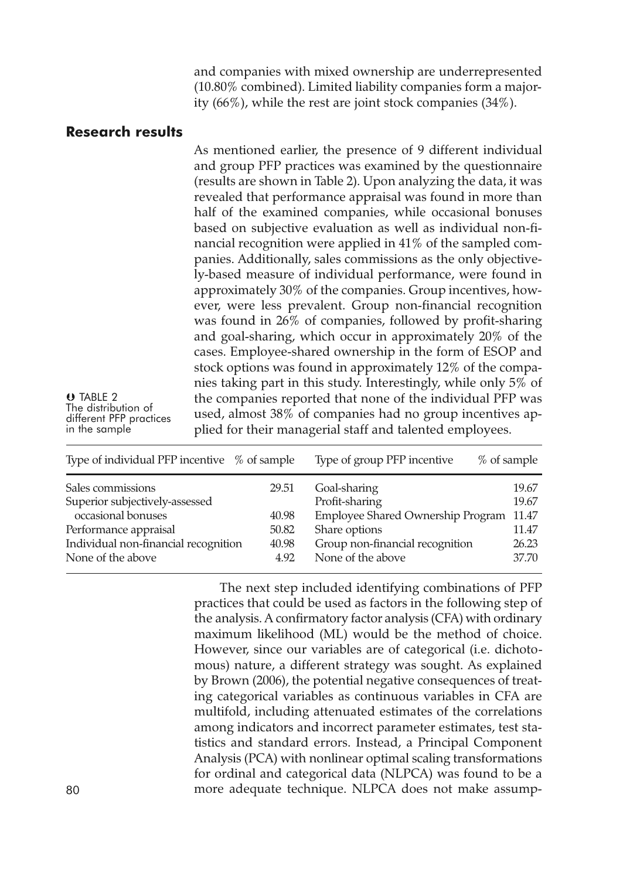and companies with mixed ownership are underrepresented (10.80% combined). Limited liability companies form a majority (66%), while the rest are joint stock companies (34%).

#### **Research results**

As mentioned earlier, the presence of 9 different individual and group PFP practices was examined by the questionnaire (results are shown in Table 2). Upon analyzing the data, it was revealed that performance appraisal was found in more than half of the examined companies, while occasional bonuses based on subjective evaluation as well as individual non-financial recognition were applied in 41% of the sampled companies. Additionally, sales commissions as the only objectively-based measure of individual performance, were found in approximately 30% of the companies. Group incentives, however, were less prevalent. Group non-financial recognition was found in 26% of companies, followed by profit-sharing and goal-sharing, which occur in approximately 20% of the cases. Employee-shared ownership in the form of ESOP and stock options was found in approximately 12% of the companies taking part in this study. Interestingly, while only 5% of the companies reported that none of the individual PFP was used, almost 38% of companies had no group incentives applied for their managerial staff and talented employees.

 TABLE 2 The distribution of different PFP practices in the sample

| Type of individual PFP incentive % of sample |       | Type of group PFP incentive<br>% of sample |       |
|----------------------------------------------|-------|--------------------------------------------|-------|
| Sales commissions                            | 29.51 | Goal-sharing                               | 19.67 |
| Superior subjectively-assessed               |       | Profit-sharing                             | 19.67 |
| occasional bonuses                           | 40.98 | Employee Shared Ownership Program          | 11.47 |
| Performance appraisal                        | 50.82 | Share options                              | 11.47 |
| Individual non-financial recognition         | 40.98 | Group non-financial recognition            | 26.23 |
| None of the above                            | 4.92  | None of the above                          | 37.70 |

The next step included identifying combinations of PFP practices that could be used as factors in the following step of the analysis. A confirmatory factor analysis (CFA) with ordinary maximum likelihood (ML) would be the method of choice. However, since our variables are of categorical (i.e. dichotomous) nature, a different strategy was sought. As explained by Brown (2006), the potential negative consequences of treating categorical variables as continuous variables in CFA are multifold, including attenuated estimates of the correlations among indicators and incorrect parameter estimates, test statistics and standard errors. Instead, a Principal Component Analysis (PCA) with nonlinear optimal scaling transformations for ordinal and categorical data (NLPCA) was found to be a 80 more adequate technique. NLPCA does not make assump-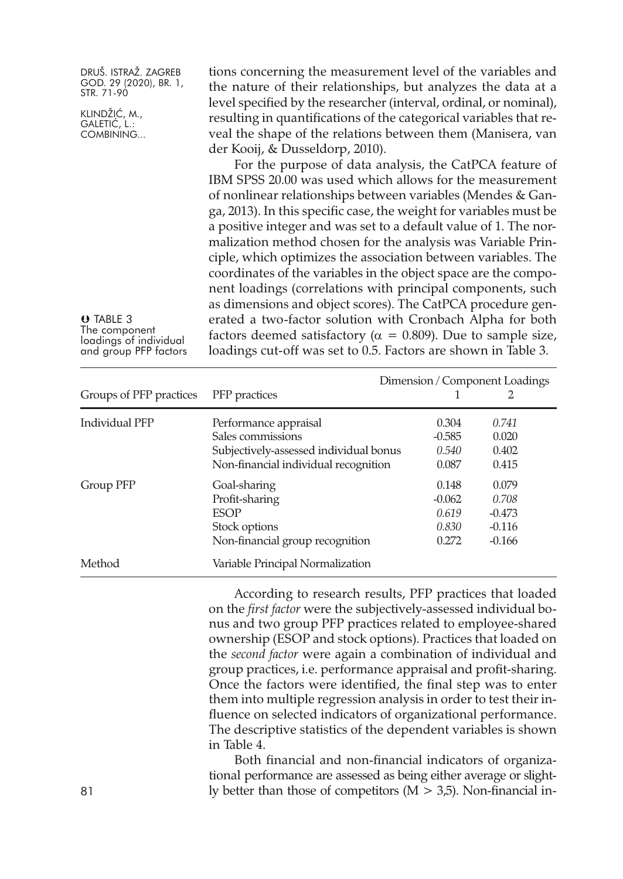KLINDŽIĆ, M., GALETIĆ, L.: COMBINING... tions concerning the measurement level of the variables and the nature of their relationships, but analyzes the data at a level specified by the researcher (interval, ordinal, or nominal), resulting in quantifications of the categorical variables that reveal the shape of the relations between them (Manisera, van der Kooij, & Dusseldorp, 2010).

For the purpose of data analysis, the CatPCA feature of IBM SPSS 20.00 was used which allows for the measurement of nonlinear relationships between variables (Mendes & Ganga, 2013). In this specific case, the weight for variables must be a positive integer and was set to a default value of 1. The normalization method chosen for the analysis was Variable Principle, which optimizes the association between variables. The coordinates of the variables in the object space are the component loadings (correlations with principal components, such as dimensions and object scores). The CatPCA procedure generated a two-factor solution with Cronbach Alpha for both factors deemed satisfactory ( $\alpha = 0.809$ ). Due to sample size, loadings cut-off was set to 0.5. Factors are shown in Table 3.

| Groups of PFP practices | PFP practices                                                                                     | Dimension / Component Loadings               | 2                                                  |  |
|-------------------------|---------------------------------------------------------------------------------------------------|----------------------------------------------|----------------------------------------------------|--|
| Individual PFP          | Performance appraisal<br>Sales commissions                                                        | 0.304<br>$-0.585$                            | 0.741<br>0.020                                     |  |
|                         | Subjectively-assessed individual bonus<br>Non-financial individual recognition                    | 0.540<br>0.087                               | 0.402<br>0.415                                     |  |
| Group PFP               | Goal-sharing<br>Profit-sharing<br><b>ESOP</b><br>Stock options<br>Non-financial group recognition | 0.148<br>$-0.062$<br>0.619<br>0.830<br>0.272 | 0.079<br>0.708<br>$-0.473$<br>$-0.116$<br>$-0.166$ |  |
| Method                  | Variable Principal Normalization                                                                  |                                              |                                                    |  |
|                         |                                                                                                   |                                              |                                                    |  |

According to research results, PFP practices that loaded on the *first factor* were the subjectively-assessed individual bonus and two group PFP practices related to employee-shared ownership (ESOP and stock options). Practices that loaded on the *second factor* were again a combination of individual and group practices, i.e. performance appraisal and profit-sharing. Once the factors were identified, the final step was to enter them into multiple regression analysis in order to test their influence on selected indicators of organizational performance. The descriptive statistics of the dependent variables is shown in Table 4.

Both financial and non-financial indicators of organizational performance are assessed as being either average or slight-81 ly better than those of competitors  $(M > 3.5)$ . Non-financial in-

The component<br>loadings of individual and group PFP factors

TABLE 3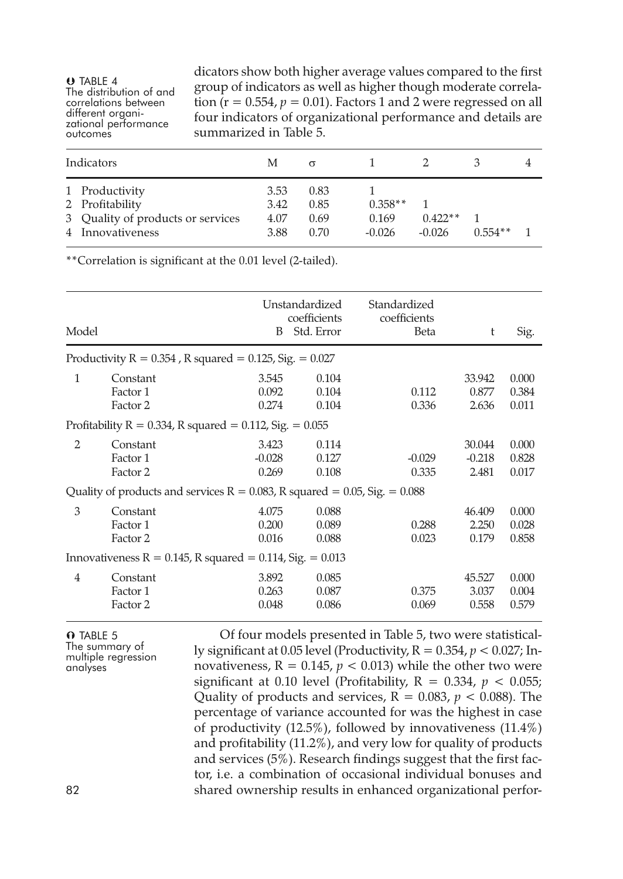**U** TABLE 4<br>The distribution of and correlations between<br>different organi-<br>zational performance<br>outcomes

dicators show both higher average values compared to the first group of indicators as well as higher though moderate correlation  $(r = 0.554, p = 0.01)$ . Factors 1 and 2 were regressed on all four indicators of organizational performance and details are summarized in Table 5.

| Indicators                                                                                 | M                            | $\sigma$                     |                                |                       |           |  |
|--------------------------------------------------------------------------------------------|------------------------------|------------------------------|--------------------------------|-----------------------|-----------|--|
| 1 Productivity<br>2 Profitability<br>3 Quality of products or services<br>4 Innovativeness | 3.53<br>3.42<br>4.07<br>3.88 | 0.83<br>0.85<br>0.69<br>0.70 | $0.358**$<br>0.169<br>$-0.026$ | $0.422**$<br>$-0.026$ | $0.554**$ |  |

\*\*Correlation is significant at the 0.01 level (2-tailed).

| Model          |                                                                               | B                          | Unstandardized<br>coefficients<br>Std. Error | Standardized<br>coefficients<br>Beta | t                           | Sig.                    |
|----------------|-------------------------------------------------------------------------------|----------------------------|----------------------------------------------|--------------------------------------|-----------------------------|-------------------------|
|                | Productivity $R = 0.354$ , R squared = 0.125, Sig. = 0.027                    |                            |                                              |                                      |                             |                         |
| 1              | Constant<br>Factor 1<br>Factor 2                                              | 3.545<br>0.092<br>0.274    | 0.104<br>0.104<br>0.104                      | 0.112<br>0.336                       | 33.942<br>0.877<br>2.636    | 0.000<br>0.384<br>0.011 |
|                | Profitability R = $0.334$ , R squared = $0.112$ , Sig. = $0.055$              |                            |                                              |                                      |                             |                         |
| $\overline{2}$ | Constant<br>Factor 1<br>Factor 2                                              | 3.423<br>$-0.028$<br>0.269 | 0.114<br>0.127<br>0.108                      | $-0.029$<br>0.335                    | 30.044<br>$-0.218$<br>2.481 | 0.000<br>0.828<br>0.017 |
|                | Quality of products and services $R = 0.083$ , R squared = 0.05, Sig. = 0.088 |                            |                                              |                                      |                             |                         |
| 3              | Constant<br>Factor 1<br>Factor 2                                              | 4.075<br>0.200<br>0.016    | 0.088<br>0.089<br>0.088                      | 0.288<br>0.023                       | 46.409<br>2.250<br>0.179    | 0.000<br>0.028<br>0.858 |
|                | Innovativeness $R = 0.145$ , R squared = 0.114, Sig. = 0.013                  |                            |                                              |                                      |                             |                         |
| $\overline{4}$ | Constant<br>Factor 1<br>Factor 2                                              | 3.892<br>0.263<br>0.048    | 0.085<br>0.087<br>0.086                      | 0.375<br>0.069                       | 45.527<br>3.037<br>0.558    | 0.000<br>0.004<br>0.579 |

O TABLE 5

The summary of multiple regression analyses

Of four models presented in Table 5, two were statistically significant at 0.05 level (Productivity,  $R = 0.354$ ,  $p < 0.027$ ; Innovativeness,  $R = 0.145$ ,  $p < 0.013$ ) while the other two were significant at 0.10 level (Profitability,  $R = 0.334$ ,  $p < 0.055$ ; Quality of products and services,  $R = 0.083$ ,  $p < 0.088$ ). The percentage of variance accounted for was the highest in case of productivity  $(12.5\%)$ , followed by innovativeness  $(11.4\%)$ and profitability (11.2%), and very low for quality of products and services (5%). Research findings suggest that the first factor, i.e. a combination of occasional individual bonuses and 82 shared ownership results in enhanced organizational perfor-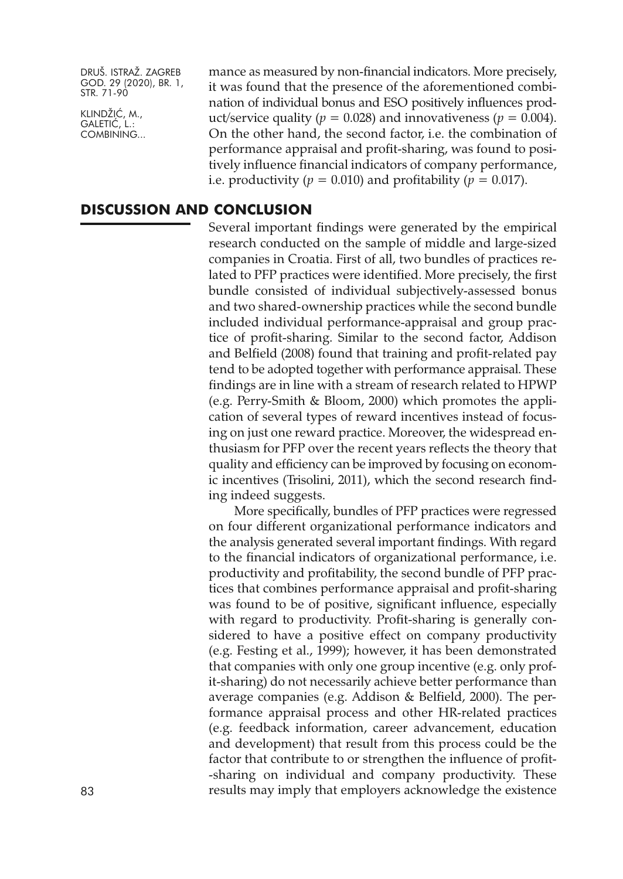KLINDŽIĆ, M., GALETIĆ, L.: COMBINING...

mance as measured by non-financial indicators. More precisely, it was found that the presence of the aforementioned combination of individual bonus and ESO positively influences product/service quality ( $p = 0.028$ ) and innovativeness ( $p = 0.004$ ). On the other hand, the second factor, i.e. the combination of performance appraisal and profit-sharing, was found to positively influence financial indicators of company performance, i.e. productivity ( $p = 0.010$ ) and profitability ( $p = 0.017$ ).

### **DISCUSSION AND CONCLUSION**

Several important findings were generated by the empirical research conducted on the sample of middle and large-sized companies in Croatia. First of all, two bundles of practices related to PFP practices were identified. More precisely, the first bundle consisted of individual subjectively-assessed bonus and two shared-ownership practices while the second bundle included individual performance-appraisal and group practice of profit-sharing. Similar to the second factor, Addison and Belfield (2008) found that training and profit-related pay tend to be adopted together with performance appraisal. These findings are in line with a stream of research related to HPWP (e.g. Perry-Smith & Bloom, 2000) which promotes the application of several types of reward incentives instead of focusing on just one reward practice. Moreover, the widespread enthusiasm for PFP over the recent years reflects the theory that quality and efficiency can be improved by focusing on economic incentives (Trisolini, 2011), which the second research finding indeed suggests.

More specifically, bundles of PFP practices were regressed on four different organizational performance indicators and the analysis generated several important findings. With regard to the financial indicators of organizational performance, i.e. productivity and profitability, the second bundle of PFP practices that combines performance appraisal and profit-sharing was found to be of positive, significant influence, especially with regard to productivity. Profit-sharing is generally considered to have a positive effect on company productivity (e.g. Festing et al., 1999); however, it has been demonstrated that companies with only one group incentive (e.g. only profit-sharing) do not necessarily achieve better performance than average companies (e.g. Addison & Belfield, 2000). The performance appraisal process and other HR-related practices (e.g. feedback information, career advancement, education and development) that result from this process could be the factor that contribute to or strengthen the influence of profit- -sharing on individual and company productivity. These 83 results may imply that employers acknowledge the existence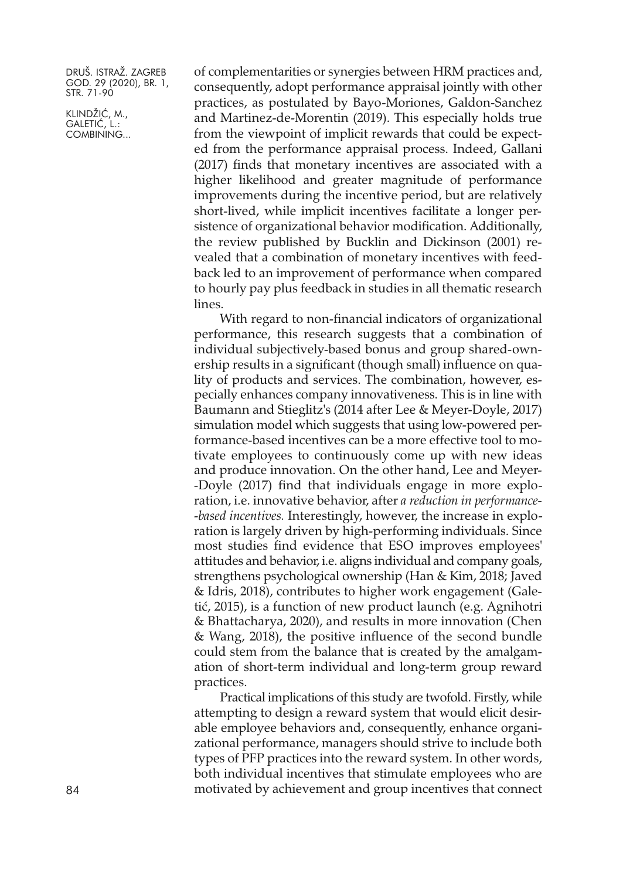KLINDŽIĆ, M., GALETIĆ, L.: COMBINING... of complementarities or synergies between HRM practices and, consequently, adopt performance appraisal jointly with other practices, as postulated by Bayo-Moriones, Galdon-Sanchez and Martinez-de-Morentin (2019). This especially holds true from the viewpoint of implicit rewards that could be expected from the performance appraisal process. Indeed, Gallani (2017) finds that monetary incentives are associated with a higher likelihood and greater magnitude of performance improvements during the incentive period, but are relatively short-lived, while implicit incentives facilitate a longer persistence of organizational behavior modification. Additionally, the review published by Bucklin and Dickinson (2001) revealed that a combination of monetary incentives with feedback led to an improvement of performance when compared to hourly pay plus feedback in studies in all thematic research lines.

With regard to non-financial indicators of organizational performance, this research suggests that a combination of individual subjectively-based bonus and group shared-ownership results in a significant (though small) influence on quality of products and services. The combination, however, especially enhances company innovativeness. This is in line with Baumann and Stieglitz's (2014 after Lee & Meyer-Doyle, 2017) simulation model which suggests that using low-powered performance-based incentives can be a more effective tool to motivate employees to continuously come up with new ideas and produce innovation. On the other hand, Lee and Meyer- -Doyle (2017) find that individuals engage in more exploration, i.e. innovative behavior, after *a reduction in performance- -based incentives.* Interestingly, however, the increase in exploration is largely driven by high-performing individuals. Since most studies find evidence that ESO improves employees' attitudes and behavior, i.e. aligns individual and company goals, strengthens psychological ownership (Han & Kim, 2018; Javed & Idris, 2018), contributes to higher work engagement (Galetić, 2015), is a function of new product launch (e.g. Agnihotri & Bhattacharya, 2020), and results in more innovation (Chen & Wang, 2018), the positive influence of the second bundle could stem from the balance that is created by the amalgamation of short-term individual and long-term group reward practices.

Practical implications of this study are twofold. Firstly, while attempting to design a reward system that would elicit desirable employee behaviors and, consequently, enhance organizational performance, managers should strive to include both types of PFP practices into the reward system. In other words, both individual incentives that stimulate employees who are 84 motivated by achievement and group incentives that connect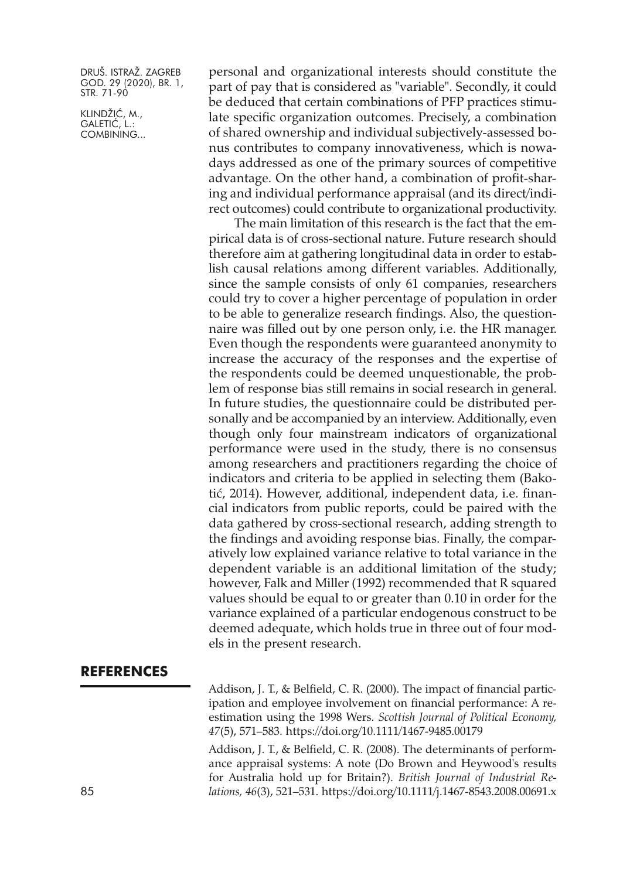KLINDŽIĆ, M., GALETIĆ, L.: COMBINING... personal and organizational interests should constitute the part of pay that is considered as "variable". Secondly, it could be deduced that certain combinations of PFP practices stimulate specific organization outcomes. Precisely, a combination of shared ownership and individual subjectively-assessed bonus contributes to company innovativeness, which is nowadays addressed as one of the primary sources of competitive advantage. On the other hand, a combination of profit-sharing and individual performance appraisal (and its direct/indirect outcomes) could contribute to organizational productivity.

The main limitation of this research is the fact that the empirical data is of cross-sectional nature. Future research should therefore aim at gathering longitudinal data in order to establish causal relations among different variables. Additionally, since the sample consists of only 61 companies, researchers could try to cover a higher percentage of population in order to be able to generalize research findings. Also, the questionnaire was filled out by one person only, i.e. the HR manager. Even though the respondents were guaranteed anonymity to increase the accuracy of the responses and the expertise of the respondents could be deemed unquestionable, the problem of response bias still remains in social research in general. In future studies, the questionnaire could be distributed personally and be accompanied by an interview. Additionally, even though only four mainstream indicators of organizational performance were used in the study, there is no consensus among researchers and practitioners regarding the choice of indicators and criteria to be applied in selecting them (Bakotić, 2014). However, additional, independent data, i.e. financial indicators from public reports, could be paired with the data gathered by cross-sectional research, adding strength to the findings and avoiding response bias. Finally, the comparatively low explained variance relative to total variance in the dependent variable is an additional limitation of the study; however, Falk and Miller (1992) recommended that R squared values should be equal to or greater than 0.10 in order for the variance explained of a particular endogenous construct to be deemed adequate, which holds true in three out of four models in the present research.

#### **REFERENCES**

Addison, J. T., & Belfield, C. R. (2000). The impact of financial participation and employee involvement on financial performance: A reestimation using the 1998 Wers. *Scottish Journal of Political Economy, 47*(5), 571–583. <https://doi.org/10.1111/1467-9485.00179>

Addison, J. T., & Belfield, C. R. (2008). The determinants of performance appraisal systems: A note (Do Brown and Heywood's results for Australia hold up for Britain?). *British Journal of Industrial Re-*85 *lations, 46*(3), 521–531. <https://doi.org/10.1111/j.1467-8543.2008.00691.x>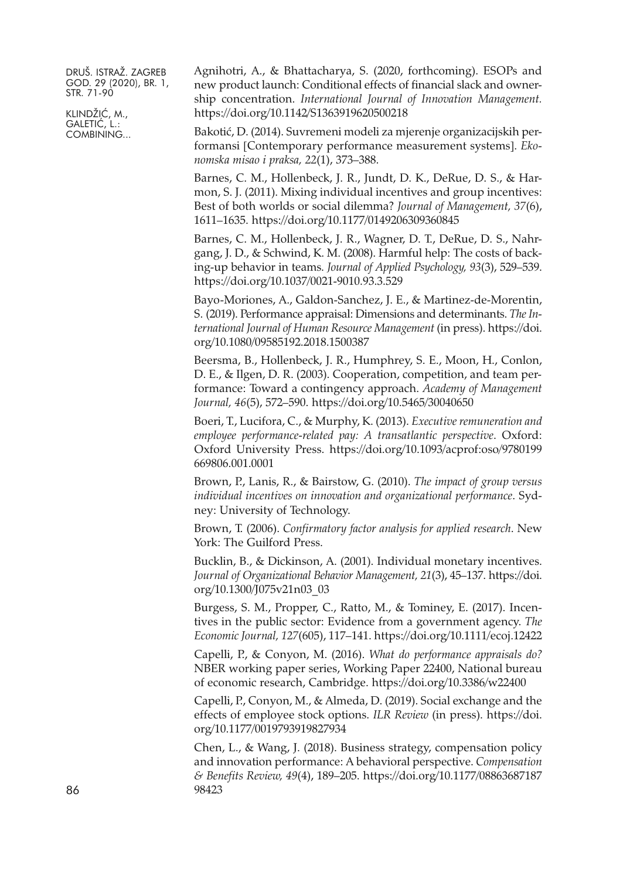KLINDŽIĆ, M., GALETIĆ, L.: COMBINING... Agnihotri, A., & Bhattacharya, S. (2020, forthcoming). ESOPs and new product launch: Conditional effects of financial slack and ownership concentration. *International Journal of Innovation Management.* <https://doi.org/10.1142/S1363919620500218>

Bakotić, D. (2014). Suvremeni modeli za mjerenje organizacijskih performansi [Contemporary performance measurement systems]. *Ekonomska misao i praksa, 22*(1), 373–388.

Barnes, C. M., Hollenbeck, J. R., Jundt, D. K., DeRue, D. S., & Harmon, S. J. (2011). Mixing individual incentives and group incentives: Best of both worlds or social dilemma? *Journal of Management, 37*(6), 1611–1635. <https://doi.org/10.1177/0149206309360845>

Barnes, C. M., Hollenbeck, J. R., Wagner, D. T., DeRue, D. S., Nahrgang, J. D., & Schwind, K. M. (2008). Harmful help: The costs of backing-up behavior in teams. *Journal of Applied Psychology, 93*(3), 529–539. <https://doi.org/10.1037/0021-9010.93.3.529>

Bayo-Moriones, A., Galdon-Sanchez, J. E., & Martinez-de-Morentin, S. (2019). Performance appraisal: Dimensions and determinants. *The International Journal of Human Resource Management* (in press). [https://doi.](https://doi.org/10.1080/09585192.2018.1500387) [org/10.1080/09585192.2018.1500387](https://doi.org/10.1080/09585192.2018.1500387)

Beersma, B., Hollenbeck, J. R., Humphrey, S. E., Moon, H., Conlon, D. E., & Ilgen, D. R. (2003). Cooperation, competition, and team performance: Toward a contingency approach. *Academy of Management Journal, 46*(5), 572–590. <https://doi.org/10.5465/30040650>

Boeri, T., Lucifora, C., & Murphy, K. (2013). *Executive remuneration and employee performance-related pay: A transatlantic perspective*. Oxford: Oxford University Press. [https://doi.org/10.1093/acprof:oso/9780199](https://doi.org/10.1093/acprof:oso/9780199669806.001.0001) [669806.001.0001](https://doi.org/10.1093/acprof:oso/9780199669806.001.0001)

Brown, P., Lanis, R., & Bairstow, G. (2010). *The impact of group versus individual incentives on innovation and organizational performance*. Sydney: University of Technology.

Brown, T. (2006). *Confirmatory factor analysis for applied research*. New York: The Guilford Press.

Bucklin, B., & Dickinson, A. (2001). Individual monetary incentives. *Journal of Organizational Behavior Management, 21*(3), 45–137. [https://doi.](https://doi.org/10.1300/J075v21n03_03) [org/10.1300/J075v21n03\\_03](https://doi.org/10.1300/J075v21n03_03)

Burgess, S. M., Propper, C., Ratto, M., & Tominey, E. (2017). Incentives in the public sector: Evidence from a government agency. *The Economic Journal, 127*(605), 117–141. <https://doi.org/10.1111/ecoj.12422>

Capelli, P., & Conyon, M. (2016). *What do performance appraisals do?* NBER working paper series, Working Paper 22400, National bureau of economic research, Cambridge. <https://doi.org/10.3386/w22400>

Capelli, P., Conyon, M., & Almeda, D. (2019). Social exchange and the effects of employee stock options. *ILR Review* (in press). [https://doi.](https://doi.org/10.1177/0019793919827934) [org/10.1177/0019793919827934](https://doi.org/10.1177/0019793919827934)

Chen, L., & Wang, J. (2018). Business strategy, compensation policy and innovation performance: A behavioral perspective. *Compensation & Benefits Review, 49*(4), 189–205. [https://doi.org/10.1177/08863687187](https://doi.org/10.1177/0886368718798423) 86 [98423](https://doi.org/10.1177/0886368718798423)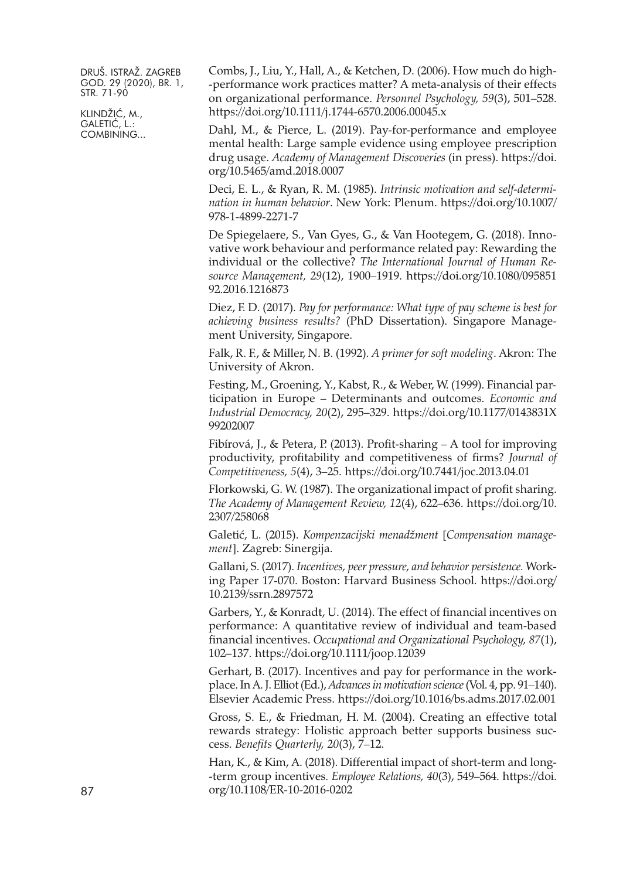KLINDŽIĆ, M., GALETIĆ, L.: COMBINING... Combs, J., Liu, Y., Hall, A., & Ketchen, D. (2006). How much do high- -performance work practices matter? A meta-analysis of their effects on organizational performance. *Personnel Psychology, 59*(3), 501–528. <https://doi.org/10.1111/j.1744-6570.2006.00045.x>

Dahl, M., & Pierce, L. (2019). Pay-for-performance and employee mental health: Large sample evidence using employee prescription drug usage. *Academy of Management Discoveries* (in press). [https://doi.](https://doi.org/10.5465/amd.2018.0007) [org/10.5465/amd.2018.0007](https://doi.org/10.5465/amd.2018.0007)

Deci, E. L., & Ryan, R. M. (1985). *Intrinsic motivation and self-determination in human behavior*. New York: Plenum. [https://doi.org/10.1007/](https://doi.org/10.1007/978-1-4899-2271-7) [978-1-4899-2271-7](https://doi.org/10.1007/978-1-4899-2271-7)

De Spiegelaere, S., Van Gyes, G., & Van Hootegem, G. (2018). Innovative work behaviour and performance related pay: Rewarding the individual or the collective? *The International Journal of Human Resource Management, 29*(12), 1900–1919. [https://doi.org/10.1080/095851](https://doi.org/10.1080/09585192.2016.1216873) [92.2016.1216873](https://doi.org/10.1080/09585192.2016.1216873)

Diez, F. D. (2017). *Pay for performance: What type of pay scheme is best for achieving business results?* (PhD Dissertation). Singapore Management University, Singapore.

Falk, R. F., & Miller, N. B. (1992). *A primer for soft modeling*. Akron: The University of Akron.

Festing, M., Groening, Y., Kabst, R., & Weber, W. (1999). Financial participation in Europe – Determinants and outcomes. *Economic and Industrial Democracy, 20*(2), 295–329. [https://doi.org/10.1177/0143831X](https://doi.org/10.1177/0143831X99202007) [99202007](https://doi.org/10.1177/0143831X99202007)

Fibírová, J., & Petera, P. (2013). Profit-sharing – A tool for improving productivity, profitability and competitiveness of firms? *Journal of Competitiveness, 5*(4), 3–25. <https://doi.org/10.7441/joc.2013.04.01>

Florkowski, G. W. (1987). The organizational impact of profit sharing. *The Academy of Management Review, 12*(4), 622–636. [https://doi.org/10.](https://doi.org/10.2307/258068) [2307/258068](https://doi.org/10.2307/258068)

Galetić, L. (2015). *Kompenzacijski menadžment* [*Compensation management*]. Zagreb: Sinergija.

Gallani, S. (2017). *Incentives, peer pressure, and behavior persistence.* Working Paper 17-070. Boston: Harvard Business School. [https://doi.org/](https://doi.org/10.2139/ssrn.2897572) [10.2139/ssrn.2897572](https://doi.org/10.2139/ssrn.2897572)

Garbers, Y., & Konradt, U. (2014). The effect of financial incentives on performance: A quantitative review of individual and team-based financial incentives. *Occupational and Organizational Psychology, 87*(1), 102–137. <https://doi.org/10.1111/joop.12039>

Gerhart, B. (2017). Incentives and pay for performance in the workplace.InA.J. Elliot (Ed.),*Advancesin motivation science*(Vol. 4, pp. 91–140). Elsevier Academic Press. <https://doi.org/10.1016/bs.adms.2017.02.001>

Gross, S. E., & Friedman, H. M. (2004). Creating an effective total rewards strategy: Holistic approach better supports business success. *Benefits Quarterly, 20*(3), 7–12.

Han, K., & Kim, A. (2018). Differential impact of short-term and long- -term group incentives. *Employee Relations, 40*(3), 549–564. [https://doi.](https://doi.org/10.1108/ER-10-2016-0202) 87 [org/10.1108/ER-10-2016-0202](https://doi.org/10.1108/ER-10-2016-0202)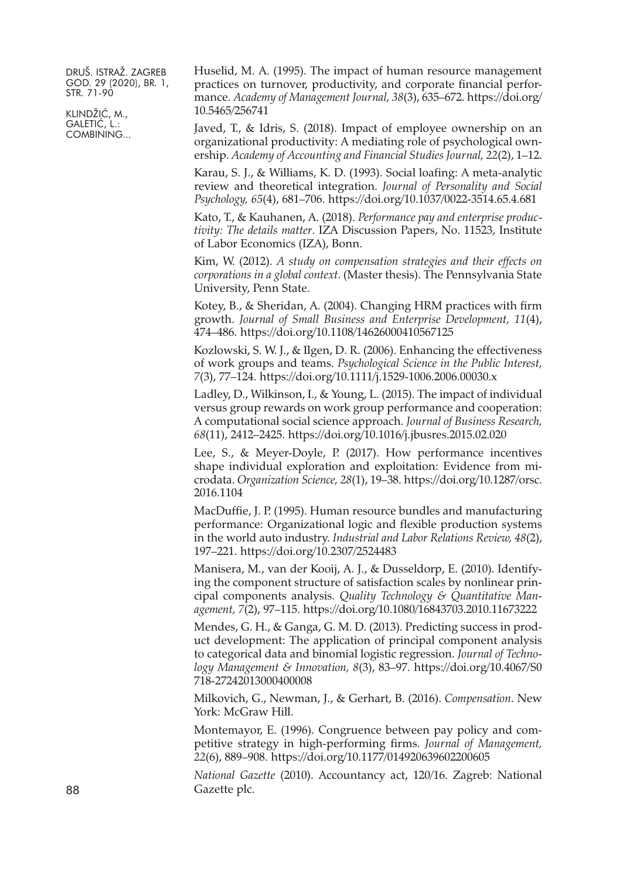KLINDŽIĆ, M., GALETIĆ, L.: COMBINING... Huselid, M. A. (1995). The impact of human resource management practices on turnover, productivity, and corporate financial performance. *Academy of Management Journal, 38*(3), 635–672. [https://doi.org/](https://doi.org/10.5465/256741) [10.5465/256741](https://doi.org/10.5465/256741)

Javed, T., & Idris, S. (2018). Impact of employee ownership on an organizational productivity: A mediating role of psychological ownership. *Academy of Accounting and Financial Studies Journal, 22*(2), 1–12.

Karau, S. J., & Williams, K. D. (1993). Social loafing: A meta-analytic review and theoretical integration. *Journal of Personality and Social Psychology, 65*(4), 681–706. <https://doi.org/10.1037/0022-3514.65.4.681>

Kato, T., & Kauhanen, A. (2018). *Performance pay and enterprise productivity: The details matter*. IZA Discussion Papers, No. 11523, Institute of Labor Economics (IZA), Bonn.

Kim, W. (2012). *A study on compensation strategies and their effects on corporations in a global context*. (Master thesis). The Pennsylvania State University, Penn State.

Kotey, B., & Sheridan, A. (2004). Changing HRM practices with firm growth. *Journal of Small Business and Enterprise Development, 11*(4), 474–486. <https://doi.org/10.1108/14626000410567125>

Kozlowski, S. W. J., & Ilgen, D. R. (2006). Enhancing the effectiveness of work groups and teams. *Psychological Science in the Public Interest, 7*(3), 77–124. <https://doi.org/10.1111/j.1529-1006.2006.00030.x>

Ladley, D., Wilkinson, I., & Young, L. (2015). The impact of individual versus group rewards on work group performance and cooperation: A computational social science approach. *Journal of Business Research, 68*(11), 2412–2425. <https://doi.org/10.1016/j.jbusres.2015.02.020>

Lee, S., & Meyer-Doyle, P. (2017). How performance incentives shape individual exploration and exploitation: Evidence from microdata. *Organization Science, 28*(1), 19–38. [https://doi.org/10.1287/orsc.](https://doi.org/10.1287/orsc.2016.1104) [2016.1104](https://doi.org/10.1287/orsc.2016.1104)

MacDuffie, J. P. (1995). Human resource bundles and manufacturing performance: Organizational logic and flexible production systems in the world auto industry. *Industrial and Labor Relations Review, 48*(2), 197–221. <https://doi.org/10.2307/2524483>

Manisera, M., van der Kooij, A. J., & Dusseldorp, E. (2010). Identifying the component structure of satisfaction scales by nonlinear principal components analysis. *Quality Technology & Quantitative Management, 7*(2), 97–115. <https://doi.org/10.1080/16843703.2010.11673222>

Mendes, G. H., & Ganga, G. M. D. (2013). Predicting success in product development: The application of principal component analysis to categorical data and binomial logistic regression. *Journal of Technology Management & Innovation, 8*(3), 83–97. [https://doi.org/10.4067/S0](83�97. https://doi.org/10.4067/S0718-27242013000400008) [718-27242013000400008](83�97. https://doi.org/10.4067/S0718-27242013000400008)

Milkovich, G., Newman, J., & Gerhart, B. (2016). *Compensation*. New York: McGraw Hill.

Montemayor, E. (1996). Congruence between pay policy and competitive strategy in high-performing firms. *Journal of Management, 22*(6), 889–908. <https://doi.org/10.1177/014920639602200605>

*National Gazette* (2010). Accountancy act, 120/16. Zagreb: National 88 Gazette plc.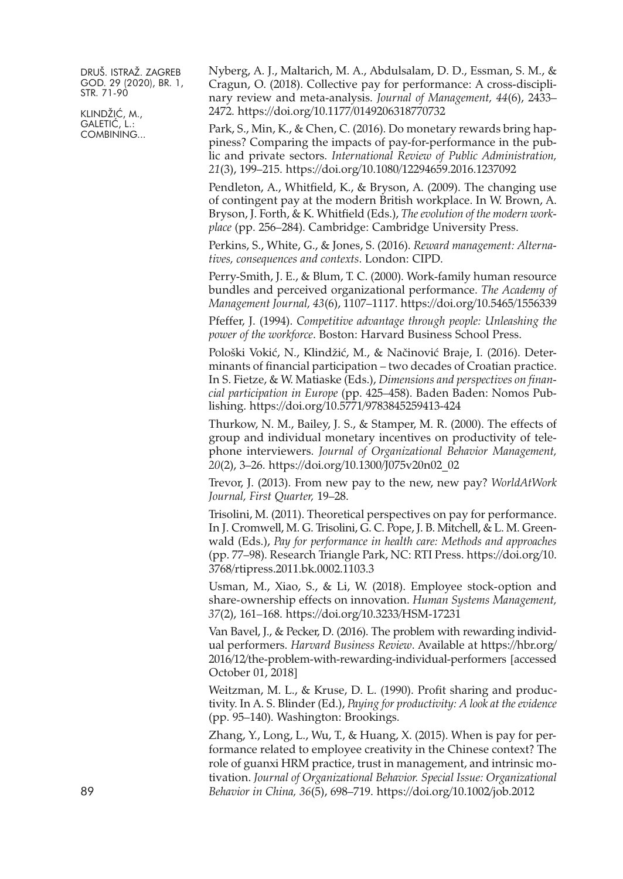KLINDŽIĆ, M., GALETIĆ, L.: COMBINING... Nyberg, A. J., Maltarich, M. A., Abdulsalam, D. D., Essman, S. M., & Cragun, O. (2018). Collective pay for performance: A cross-disciplinary review and meta-analysis. *Journal of Management, 44*(6), 2433– 2472. <https://doi.org/10.1177/0149206318770732>

Park, S., Min, K., & Chen, C. (2016). Do monetary rewards bring happiness? Comparing the impacts of pay-for-performance in the public and private sectors. *International Review of Public Administration, 21*(3), 199–215. <https://doi.org/10.1080/12294659.2016.1237092>

Pendleton, A., Whitfield, K., & Bryson, A. (2009). The changing use of contingent pay at the modern British workplace. In W. Brown, A. Bryson, J. Forth, & K. Whitfield (Eds.), *The evolution of the modern workplace* (pp. 256–284). Cambridge: Cambridge University Press.

Perkins, S., White, G., & Jones, S. (2016). *Reward management: Alternatives, consequences and contexts*. London: CIPD.

Perry-Smith, J. E., & Blum, T. C. (2000). Work-family human resource bundles and perceived organizational performance. *The Academy of Management Journal, 43*(6), 1107–1117. <https://doi.org/10.5465/1556339>

Pfeffer, J. (1994). *Competitive advantage through people: Unleashing the power of the workforce*. Boston: Harvard Business School Press.

Pološki Vokić, N., Klindžić, M., & Načinović Braje, I. (2016). Determinants of financial participation – two decades of Croatian practice. In S. Fietze, & W. Matiaske (Eds.), *Dimensions and perspectives on financial participation in Europe* (pp. 425–458). Baden Baden: Nomos Publishing. <https://doi.org/10.5771/9783845259413-424>

Thurkow, N. M., Bailey, J. S., & Stamper, M. R. (2000). The effects of group and individual monetary incentives on productivity of telephone interviewers. *Journal of Organizational Behavior Management, 20*(2), 3–26. [https://doi.org/10.1300/J075v20n02\\_02](https://doi.org/10.1300/J075v20n02_02)

Trevor, J. (2013). From new pay to the new, new pay? *WorldAtWork Journal, First Quarter,* 19–28.

Trisolini, M. (2011). Theoretical perspectives on pay for performance. In J. Cromwell, M. G. Trisolini, G. C. Pope, J. B. Mitchell, & L. M. Greenwald (Eds.), *Pay for performance in health care: Methods and approaches* (pp. 77–98). Research Triangle Park, NC: RTI Press. [https://doi.org/10.](https://doi.org/10.3768/rtipress.2011.bk.0002.1103.3) [3768/rtipress.2011.bk.0002.1103.3](https://doi.org/10.3768/rtipress.2011.bk.0002.1103.3)

Usman, M., Xiao, S., & Li, W. (2018). Employee stock-option and share-ownership effects on innovation. *Human Systems Management, 37*(2), 161–168. <https://doi.org/10.3233/HSM-17231>

Van Bavel, J., & Pecker, D. (2016). The problem with rewarding individual performers. *Harvard Business Review*. Available at [https://hbr.org/](https://hbr.org/2016/12/the-problem-with-rewarding-individual-performers) [2016/12/the-problem-with-rewarding-individual-performers](https://hbr.org/2016/12/the-problem-with-rewarding-individual-performers) [accessed October 01, 2018]

Weitzman, M. L., & Kruse, D. L. (1990). Profit sharing and productivity. In A. S. Blinder (Ed.), *Paying for productivity: A look at the evidence* (pp. 95–140). Washington: Brookings.

Zhang, Y., Long, L., Wu, T., & Huang, X. (2015). When is pay for performance related to employee creativity in the Chinese context? The role of guanxi HRM practice, trust in management, and intrinsic motivation. *Journal of Organizational Behavior. Special Issue: Organizational* 89 *Behavior in China, 36*(5), 698–719. <https://doi.org/10.1002/job.2012>